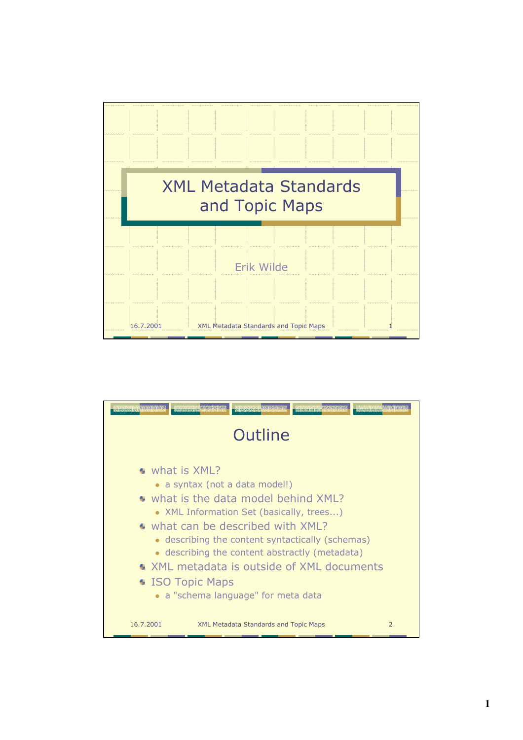

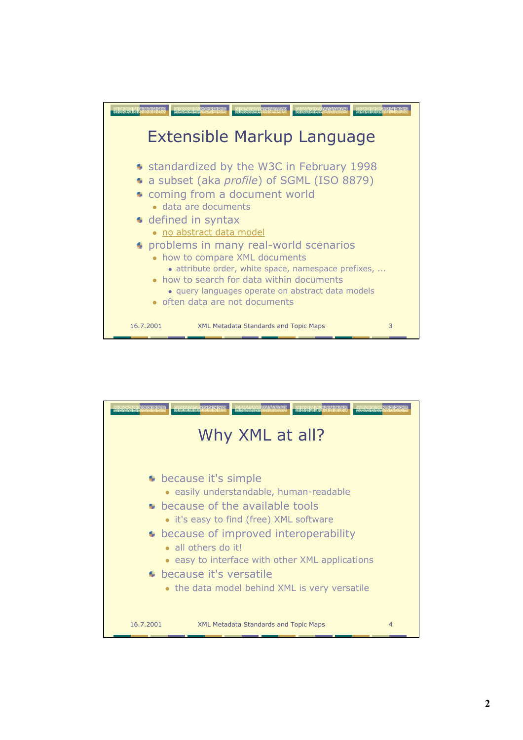

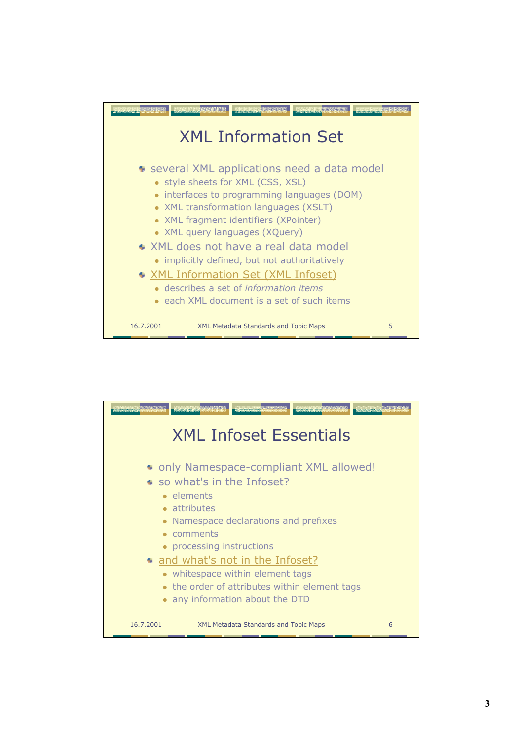

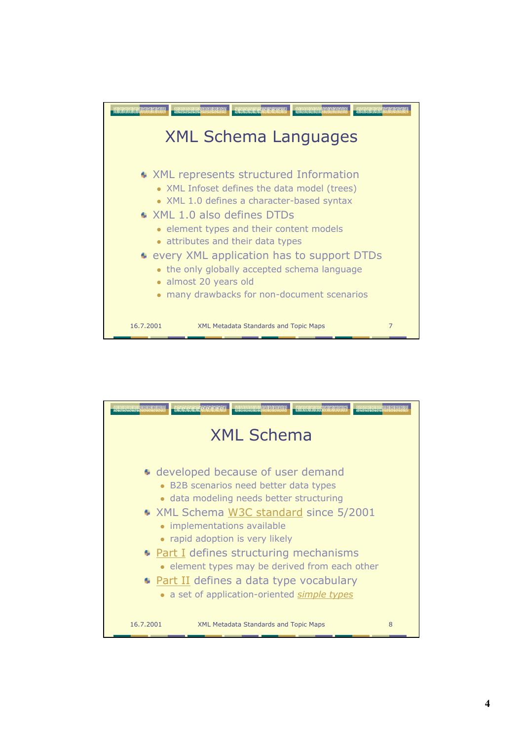

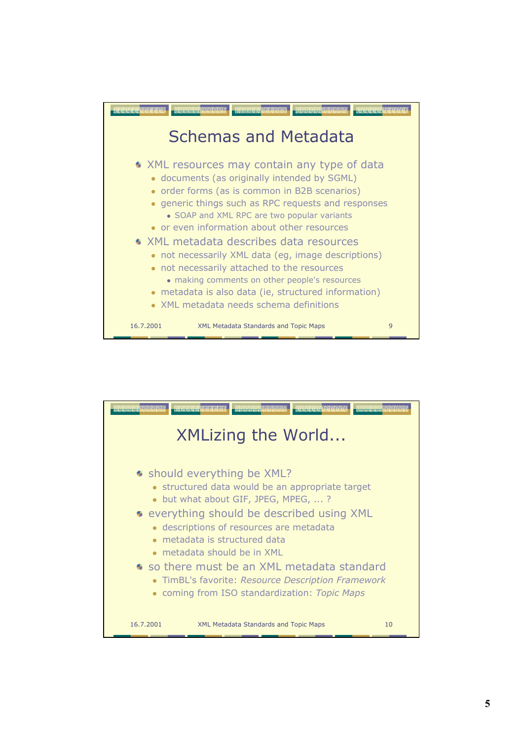

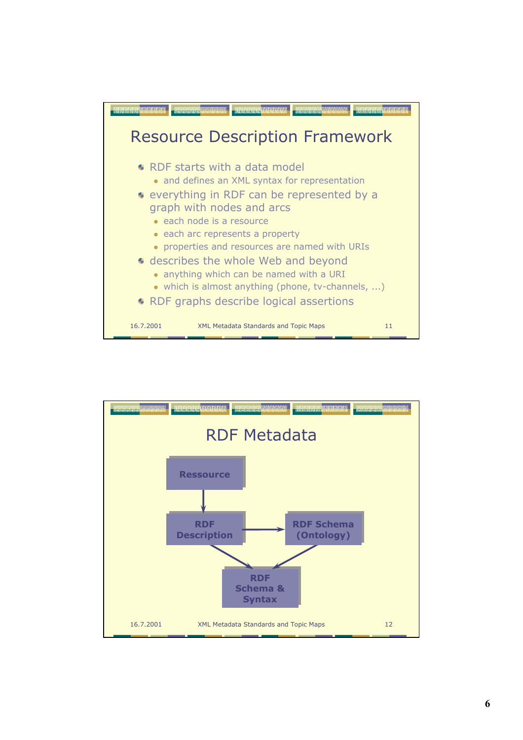

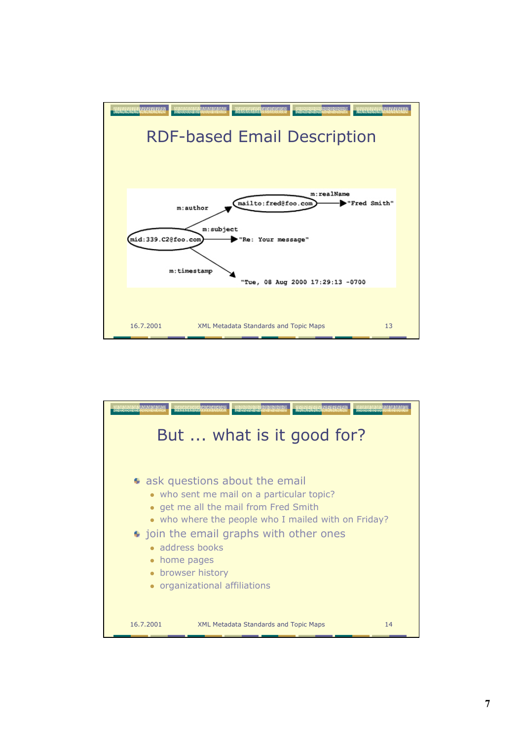

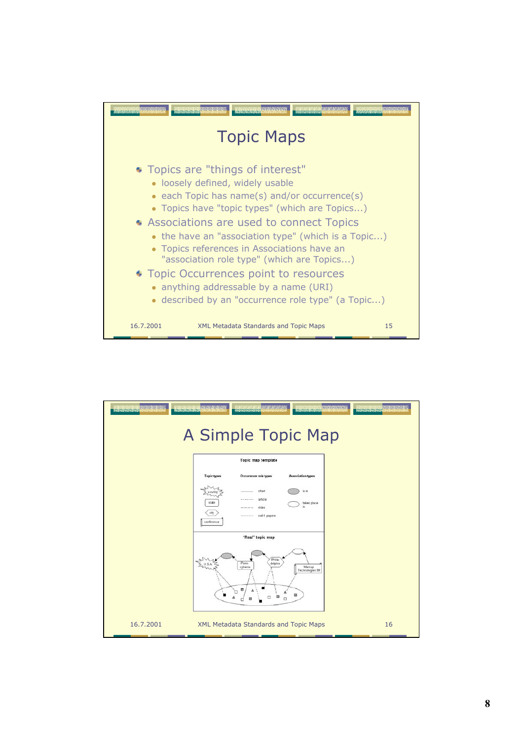

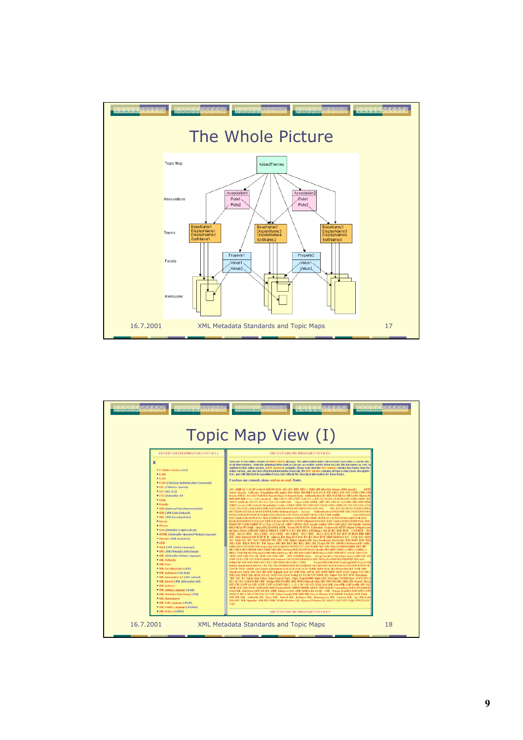

| <b>ABCDEFGHIJKLMNOPORSTUVWX2</b><br>* X Window System (XZZ)<br>$* x.400$<br>$* 1500$<br>* X.509 (Directory Authentication Framework)<br>· X11 (X Wrichts System)<br>· XII (ASCALA<br>* XID (Extensible 20)<br>· Xalan<br>· Kawaka<br>· XDR (External Data Representation)<br>· XDR. LUME-Clata Redicedi<br>· XER LANE Encoding Rudes)<br>· Xerren<br>· If cann-<br>· XGA (Extended Guiphics Array)<br>* 304TDL (Extendile Hyperlant Market) Language)<br>· Thickele (XAE Av. Esters)<br>$-3000$<br>* TLEE (XPR LERENT LIFERANDY)<br>· 33% (JOS: Metadata Interchange)<br>· 334. (Extensible Markets Language)<br>· 334. Authority<br>* XHL Bane<br>. 374. Encoding Rules (AER).<br>* 314, Inchesions (The hale) | <b>ABCDEFGHIJKLMNOPORSTUVWXZ</b><br>Welcome to the online version of WBSe's WIIW glossary. The abbreviation index (shown below) provides a concise list<br>of all abbreviations, while the individual letter indices (always accessible via the letter bar) list the full names as well. In<br>addition to this ordine version, a FCF version is available. Please rute that the FCF version contains less topics than the<br>online version, and also less structural information. Basically, the PDF version contains all topics which have descriptive<br>best, and with this text in hyperlinked form, but without the structural information for these topics.<br>If you have any comments, please sond me an email. Thanks,<br>AAC ABNE AC-3 ACAP ActiveX ADPOM ADSL AES AFS AND A AND CAINTAIN ABANYADa Amaya ANNI Apache<br>Server Apoche Software Foundation API applet ARP ARPANET ASA ASCII ASF ASN 1 ASP ATA ATAPI ATM ATE<br>Forum ATRAC AVI AWT BJB BJC Base16 Base12 Base64 Basic Authentication BC BER BGP B&TeX B&TeXPI, Bluetoot<br>RHE RHE RHE C.C + + CA Canonical 304, CAP CC/PP CCJTT CON CCS of RD CD CD-DA CD-ROM CDF CRNA CDHE CE<br>CERT Certificate CES OF CFA CG CGA CGE CGEN CGEN - Open CHAP (HTML CBF CBF) CBF CLE CHC CHS CHY CHY<br>CHRP Cocoon COM Conferr Negotiation Cookie CORBA CIVM CRC CRM CRT CSCW CSMA CSMA CD CSS CSS CSS1 C<br>352 CSS3 CVE ORI DAILDARE DAP DARPA DAT DAVIC DIMIS DCD DCE DCE<br>RPC DOF DCOM DCT DODG DOM<br>DECT DER DES DESX DHOP DHIPA, Dalla-Helbran Digest Access Authoritication DNB DNB POIS DOI DOM DON<br>DOME DOME DIVISIONSE DODED/AD DIED DIE DIE DISSE DISTRED TO DE DE DE DARK<br>Circa DVD DV<br>DVD-Audio DVD-ROM DVD-Video DVMRP E-Commerce EAN EBCDIC EENF-eb0NL ECC ECFIA EENAScript ECNL EED<br>EDGE EDI EDIFACT (KA EGP EINE EJR ELD EFOC EPS EGHTP EUGOGI ETSI EUC EXIF FAMOSI FODI FORM FEAL FEE<br>Flash FOR FORM FORM FTP G3 Fax G4 Fax G8' G8'97 G8'99a GIOR Goode Gopher GRIS GSM off/D GUI Handle Syste<br>NAVELOS NES High-Siena HSCSD HTML HTML: Forms HTTP HTTP-Extension. Framework HTTPS Higher-G Higher<br>HyTime (Mide ISBN IAB TANA KANN) KE KNO KO KO KO KE KEA KEABayce KX. IE IEC BEE IEEE - 1394 IEEE -<br>IEEE - 802.31 IEEE - 802.2 IEEE - 802.3 IEEE - 802.4 IEEE - 802.5 IEEE - 802.6 IESG IEEF IGP IIGP IIS IMAP IMP IMP<br>INT-2000 Internet IOR IOTP IP IP. address IPA Brog IPst IPst IPX IRC I/EA IRTF ISBN ISDN ISO ISO 13346 ISO 38<br>ISO 9660 ISO RFC ISOC ISSN ITP ITO LIFE LISE Jobber Jokarta JAR Jawa Jawaheans JawaScript JAXB JAXP JAXP JID<br>BHG KIEC JERA JEPI JEC JEJE Japany JOS JOK JIKH JUG JOEG JOEG JRE ISHUA ISP STA IVONES KONGOS KIE LUON<br>AN LifeX LCD LDAP LED Linux Like LiveScript LLC LPCH L277 L2W 14 LCF 14AC MAC MacOS MAN Maddit, INCF ND<br>ND24KH1ND51N11NLHKRI MINE3ND1NNG14Gobm MOE3NOSF MOSS1NozillaNP13NEG3NEGG1NEGG2NEGG4<br>MEEG-7 NSXML NAT Nankjabar NBS NES NetWare NPS NIS NISO NIST NNNP Newce NITES NITP NTSC OASIS OBLOCSP<br>ODBC ODP OER OFX OIL OLAP OLE ONG ONC - 10PC OODBMS Open - Group OpenDec OpenTiger Opena ORB OSE OS<br>OSFE OSTA OTP OTS PJP PackBills PAL Pankine PAP PCM POMOK IA PCK PDF PDFLaToX PDP PDU PEMPER PR Part<br>POMERGE FRIED FRIED FRIEN PICS POCT PIPERIN PICS PICS 7 PKL.<br>Forum FKD: FNG POP PostScript FFF Proxy FSTI<br>Python QuickTime RARP RC2 RC4 RC5 RC6 RDIPPE RDF RFC RGB R1P RLE 4941 RFC RSA RSS RSS RTCP RTF RTP RTS<br>SHITTP SACD SAFER SAX Saron Schematron SCM SCSI SCSU SCVP SDMA SDHII SDSL SECAM serviet SET SGML SHA<br>Shockwave SHOE SHOE SIM SKIP Skiplack SLIP SLP SHILL SHIPLE SHIP SHIP SHIP SOAP Solaris SOX SHI<br>SPECWAD SPIFF SCI, ARGB SSI SSL SVCD SVG SVGA Swing Tri Tcl/Tk TCP TDMA, TEI Takat TaX TFT TFTP Thesaurus |  |
|-----------------------------------------------------------------------------------------------------------------------------------------------------------------------------------------------------------------------------------------------------------------------------------------------------------------------------------------------------------------------------------------------------------------------------------------------------------------------------------------------------------------------------------------------------------------------------------------------------------------------------------------------------------------------------------------------------------------|------------------------------------------------------------------------------------------------------------------------------------------------------------------------------------------------------------------------------------------------------------------------------------------------------------------------------------------------------------------------------------------------------------------------------------------------------------------------------------------------------------------------------------------------------------------------------------------------------------------------------------------------------------------------------------------------------------------------------------------------------------------------------------------------------------------------------------------------------------------------------------------------------------------------------------------------------------------------------------------------------------------------------------------------------------------------------------------------------------------------------------------------------------------------------------------------------------------------------------------------------------------------------------------------------------------------------------------------------------------------------------------------------------------------------------------------------------------------------------------------------------------------------------------------------------------------------------------------------------------------------------------------------------------------------------------------------------------------------------------------------------------------------------------------------------------------------------------------------------------------------------------------------------------------------------------------------------------------------------------------------------------------------------------------------------------------------------------------------------------------------------------------------------------------------------------------------------------------------------------------------------------------------------------------------------------------------------------------------------------------------------------------------------------------------------------------------------------------------------------------------------------------------------------------------------------------------------------------------------------------------------------------------------------------------------------------------------------------------------------------------------------------------------------------------------------------------------------------------------------------------------------------------------------------------------------------------------------------------------------------------------------------------------------------------------------------------------------------------------------------------------------------------------------------------------------------------------------------------------------------------------------------------------------------------------------------------------------------------------------------------------------------------------------------------------------------------------------------------------------------------------------------------------------------------------------------------------------------------------------------------------------------------------------------------------------------------------------------------------------------------------|--|
| · XHL Information Set (XML Jafosef)<br>· 314, Infoset (ANE Information Set)<br>. XM. Instance<br>Clothe Government District #50.<br>· 33-8. Fletadata Interchange (ANO)<br>· XI-E. Hannespaces<br>· 314. Path Language (370ab)<br>· XHL Pointer Language (XPointer)                                                                                                                                                                                                                                                                                                                                                                                                                                             | TIFF TLD TLS Token Bus Token Ring Tosscal Topic Maps TransforMIX triple-OES TrueType TWAIN Type 1 UCS UCS<br>UCS-2E UCS-4 UDD1 UDF-UDF- Bridge UDP UI UID4, UML UMTS Unicode Unix UPC UPP UICLUIGL URB USB Useret. Ne<br>UIF UIF-1 UIF-16 UIF-2 UIF-7 UIF-8 UUCP UWCC V,32 V,34 V,50 VCD VDSL VGA VML VokeUML VoIP VoiML VMP VQ<br>VRNE W 3C WAI WAIS WAN WAP VAR Forum WAVE WIEFH WRDNE. WDDX WDP Web3D. Consertions WebCON WebDAY<br>WebSGM, WebStune WEP VIF/0M, WIMC Windows WLL WM, WML World. DAB Forum WorldOS WSP WTLS WT<br>WWW X.400 X.500 X.509 X11 X12 X3D Xalan Xarada KDR XDR XER Xorcos XForms XGA XHTML XInclude XIOP XLInk.<br>334 334, 334, Aufbority 334, Base 334, Infoset 334, Instance 334, Namespaces 334, Schema 334, Spy 334-Data<br>394-40C XML-Signature XML EDI XMLP XPattle XOutre XQL XQuery XSchema XSL XSL FO XSLT XSP XSQL XTM Z39.50<br>Zope                                                                                                                                                                                                                                                                                                                                                                                                                                                                                                                                                                                                                                                                                                                                                                                                                                                                                                                                                                                                                                                                                                                                                                                                                                                                                                                                                                                                                                                                                                                                                                                                                                                                                                                                                                                                                                                                                                                                                                                                                                                                                                                                                                                                                                                                                                                                                                                                                                                                                                                                                                                                                                                                                                                                                                                                                                                                             |  |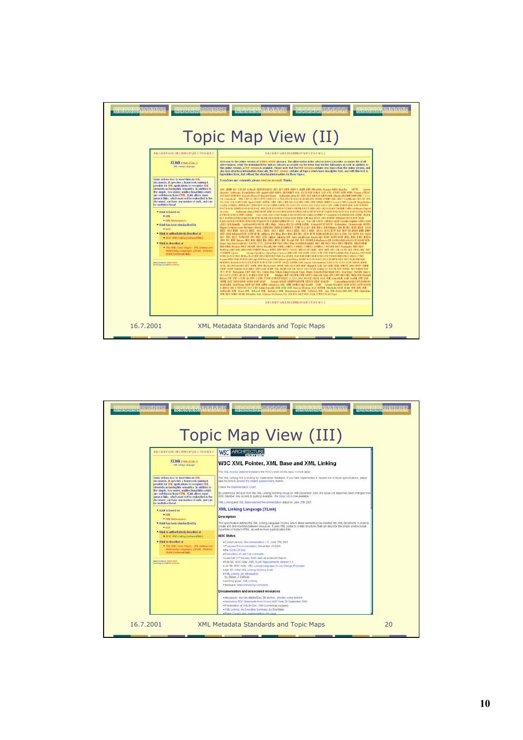

| <b>ABCDEFGHIJKLMNOPQRSTUVWX2</b>                                                                      | Topic Map View (III)                                                                                                                                                                                                                                                                                                                     |
|-------------------------------------------------------------------------------------------------------|------------------------------------------------------------------------------------------------------------------------------------------------------------------------------------------------------------------------------------------------------------------------------------------------------------------------------------------|
|                                                                                                       | <b>W3C</b> ARCHITECTURE                                                                                                                                                                                                                                                                                                                  |
| XLink (Moto Dota 3<br>M. Leving Linguage                                                              | W3C XML Pointer, XML Base and XML Linking                                                                                                                                                                                                                                                                                                |
|                                                                                                       | The XML Activity Statement explains the W3C's work on this topic in more detail.                                                                                                                                                                                                                                                         |
| 31.kk defines how to kneet links in 334.<br>documents. It specifies a framework making it.            | The XML Linking WG is looking for implementor feedback. If you have implemented or neused one of those specifications, please<br>take the time to answer the related questionniere. thanks:                                                                                                                                              |
| possible for 314, applications to recognize 324.<br>elements as having link semantics, in addition to | Check the Implementation Chart                                                                                                                                                                                                                                                                                                           |
| the simple, two-ended, unidirectional links which<br>are well-known from HTML. XLER allows more       | By unanimous decision from the XML Linking Working Group on 14th December 2000, the Issue List status has been changed from                                                                                                                                                                                                              |
| omeral links, which must not be embedded in the<br>document, can have any number of ends, and can-    | W3C Member only access to publicly available. The Issue List is now available I                                                                                                                                                                                                                                                          |
| be multidirectional.                                                                                  | XML Linking and XML Base reached Recommendation status on June 27th 2001.                                                                                                                                                                                                                                                                |
| · XLkd. is based on<br>$-104$                                                                         | <b>XML Linking Language (XLink)</b>                                                                                                                                                                                                                                                                                                      |
| · 314 Namespaces                                                                                      | <b>Description</b>                                                                                                                                                                                                                                                                                                                       |
| . XLink has been standardized by<br>$-$ which                                                         | This specification defines the XML Linking Language (XLink), which above elements to be inserted into XML documents in order to<br>create and describe links between resources. It uses XML syntax to create structures that can describe the simple unidirectional<br>hypertinist of today's HTML, as well as more sophisticated links. |
| . XLink is authoritatively described at<br>* IV.R" XME Christma (external link)                       | <b>W3C Status</b>                                                                                                                                                                                                                                                                                                                        |
| · Black is described at                                                                               | . Current version. Recommendation 1.8. June 37th 2001                                                                                                                                                                                                                                                                                    |
| · The XNE Cover Finans - XNE Linking and<br>Addressing Languages (30aff), 30ainter,                   | . Proposed Recommendation, December 20 2000                                                                                                                                                                                                                                                                                              |
| <b>JERRY (external link)</b>                                                                          | . the XLink CR DoC<br>- Disposition of Last Call commercial                                                                                                                                                                                                                                                                              |
| data provaded by selling interior                                                                     | . Last Call 21 February 2000, last call ended 20 March<br>. Feb '99, W3C Ndar, XML XLink Requirements Version 1.0                                                                                                                                                                                                                        |
| Inchrydige provided by it ridicant                                                                    | . Jul '99: W3C Note: XML Linking Language (XEink) Design Principles<br>. Apr '97: initial XML Linking Working Draft                                                                                                                                                                                                                      |
|                                                                                                       | - XML Linking An introduction                                                                                                                                                                                                                                                                                                            |
|                                                                                                       | by Steven J. DeRose<br>. working group: JOAL Linking                                                                                                                                                                                                                                                                                     |
|                                                                                                       | · feedback: www.uni-knieng.comments                                                                                                                                                                                                                                                                                                      |
|                                                                                                       | Documentation and associated resources                                                                                                                                                                                                                                                                                                   |
|                                                                                                       | · discussion: xtg-dev started Dec '98 archive, stri-dev, comp ted xrst<br>Harvesting RDF Statements from ALinks W3C Note 29 September 2000                                                                                                                                                                                               |
|                                                                                                       | · Presentation at XML199 Dec 1999 (somewhat outdated)<br>. XML Linking: An Executive Summary, by Eve Maler                                                                                                                                                                                                                               |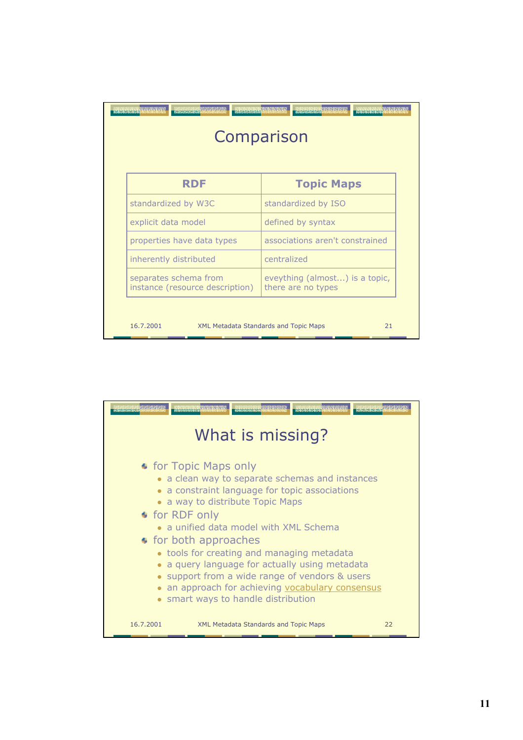| REAR AND A LIGHT<br><b>The French President in the Contract of the Contract of the Contract of the Contract of the Contract of the Contract of the Contract of the Contract of the Contract of the Contract of the Contract of the Contract of the C</b><br><b>Rayongwaynan</b><br>1202020202<br>Comparison |  |  |
|-------------------------------------------------------------------------------------------------------------------------------------------------------------------------------------------------------------------------------------------------------------------------------------------------------------|--|--|
| <b>Topic Maps</b>                                                                                                                                                                                                                                                                                           |  |  |
| standardized by ISO                                                                                                                                                                                                                                                                                         |  |  |
| defined by syntax                                                                                                                                                                                                                                                                                           |  |  |
| associations aren't constrained                                                                                                                                                                                                                                                                             |  |  |
| centralized                                                                                                                                                                                                                                                                                                 |  |  |
| eveything (almost) is a topic,<br>there are no types                                                                                                                                                                                                                                                        |  |  |
|                                                                                                                                                                                                                                                                                                             |  |  |